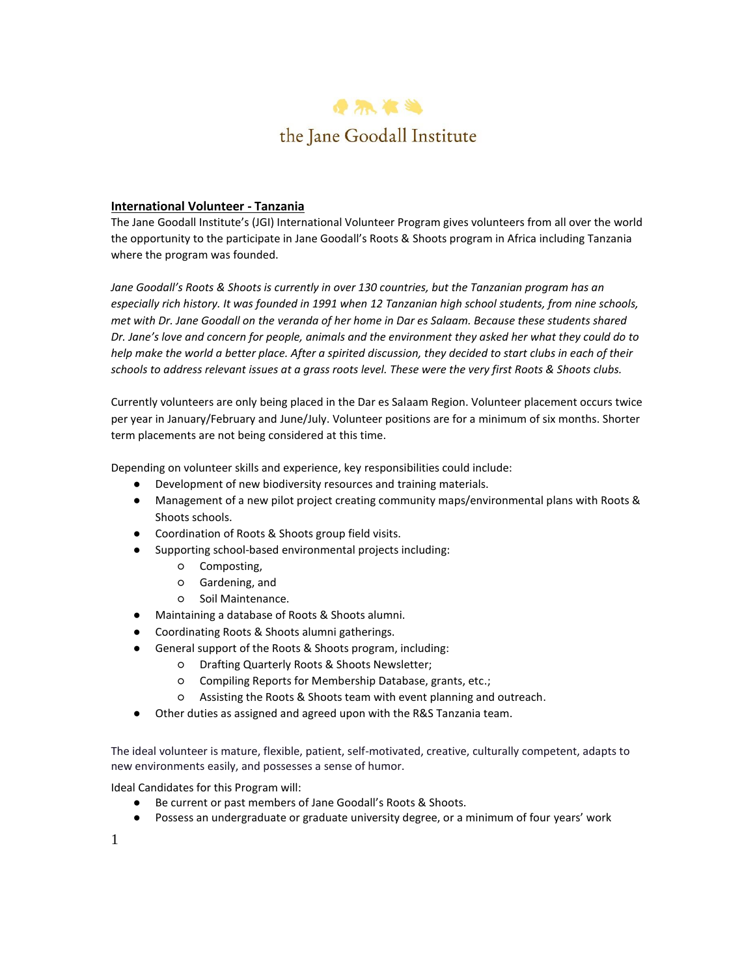

# **International Volunteer - Tanzania**

The Jane Goodall Institute's (JGI) International Volunteer Program gives volunteers from all over the world the opportunity to the participate in Jane Goodall's Roots & Shoots program in Africa including Tanzania where the program was founded.

*Jane Goodall's Roots & Shoots is currently in over 130 countries, but the Tanzanian program has an especially rich history. It was founded in 1991 when 12 Tanzanian high school students, from nine schools, met with Dr. Jane Goodall on the veranda of her home in Dar es Salaam. Because these students shared Dr. Jane's love and concern for people, animals and the environment they asked her what they could do to help make the world a better place. After a spirited discussion, they decided to start clubs in each of their schools to address relevant issues at a grass roots level. These were the very first Roots & Shoots clubs.*

Currently volunteers are only being placed in the Dar es Salaam Region. Volunteer placement occurs twice per year in January/February and June/July. Volunteer positions are for a minimum of six months. Shorter term placements are not being considered at this time.

Depending on volunteer skills and experience, key responsibilities could include:

- Development of new biodiversity resources and training materials.
- Management of a new pilot project creating community maps/environmental plans with Roots & Shoots schools.
- Coordination of Roots & Shoots group field visits.
- Supporting school-based environmental projects including:
	- Composting,
	- Gardening, and
	- Soil Maintenance.
- Maintaining a database of Roots & Shoots alumni.
- Coordinating Roots & Shoots alumni gatherings.
- General support of the Roots & Shoots program, including:
	- Drafting Quarterly Roots & Shoots Newsletter;
		- Compiling Reports for Membership Database, grants, etc.;
		- Assisting the Roots & Shoots team with event planning and outreach.
- Other duties as assigned and agreed upon with the R&S Tanzania team.

The ideal volunteer is mature, flexible, patient, self-motivated, creative, culturally competent, adapts to new environments easily, and possesses a sense of humor.

Ideal Candidates for this Program will:

- Be current or past members of Jane Goodall's Roots & Shoots.
- Possess an undergraduate or graduate university degree, or a minimum of four years' work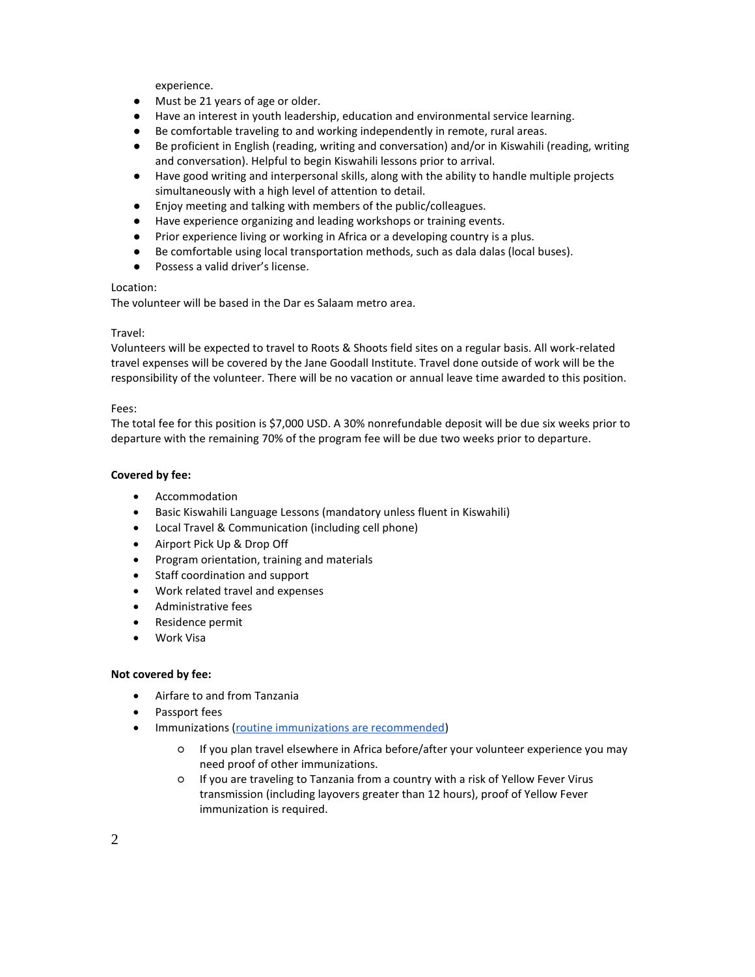experience.

- Must be 21 years of age or older.
- Have an interest in youth leadership, education and environmental service learning.
- Be comfortable traveling to and working independently in remote, rural areas.
- Be proficient in English (reading, writing and conversation) and/or in Kiswahili (reading, writing and conversation). Helpful to begin Kiswahili lessons prior to arrival.
- Have good writing and interpersonal skills, along with the ability to handle multiple projects simultaneously with a high level of attention to detail.
- Enjoy meeting and talking with members of the public/colleagues.
- Have experience organizing and leading workshops or training events.
- Prior experience living or working in Africa or a developing country is a plus.
- Be comfortable using local transportation methods, such as dala dalas (local buses).
- Possess a valid driver's license.

## Location:

The volunteer will be based in the Dar es Salaam metro area.

# Travel:

Volunteers will be expected to travel to Roots & Shoots field sites on a regular basis. All work-related travel expenses will be covered by the Jane Goodall Institute. Travel done outside of work will be the responsibility of the volunteer. There will be no vacation or annual leave time awarded to this position.

#### Fees:

The total fee for this position is \$7,000 USD. A 30% nonrefundable deposit will be due six weeks prior to departure with the remaining 70% of the program fee will be due two weeks prior to departure.

## **Covered by fee:**

- Accommodation
- Basic Kiswahili Language Lessons (mandatory unless fluent in Kiswahili)
- Local Travel & Communication (including cell phone)
- Airport Pick Up & Drop Off
- Program orientation, training and materials
- Staff coordination and support
- Work related travel and expenses
- Administrative fees
- Residence permit
- Work Visa

#### **Not covered by fee:**

- Airfare to and from Tanzania
- Passport fees
- **•** Immunizations [\(routine immunizations are recommended\)](https://www.iamat.org/country/tanzania/risk/routine-immunizations)
	- If you plan travel elsewhere in Africa before/after your volunteer experience you may need proof of other immunizations.
	- If you are traveling to Tanzania from a country with a risk of Yellow Fever Virus transmission (including layovers greater than 12 hours), proof of Yellow Fever immunization is required.